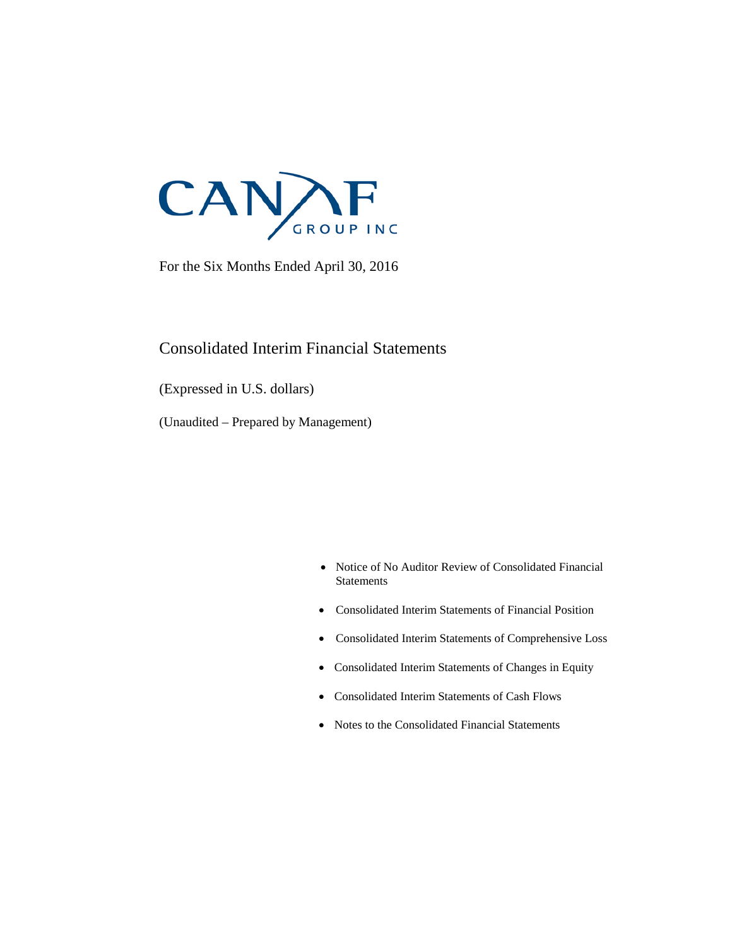

For the Six Months Ended April 30, 2016

### Consolidated Interim Financial Statements

(Expressed in U.S. dollars)

(Unaudited – Prepared by Management)

- Notice of No Auditor Review of Consolidated Financial **Statements**
- Consolidated Interim Statements of Financial Position
- Consolidated Interim Statements of Comprehensive Loss
- Consolidated Interim Statements of Changes in Equity
- Consolidated Interim Statements of Cash Flows
- Notes to the Consolidated Financial Statements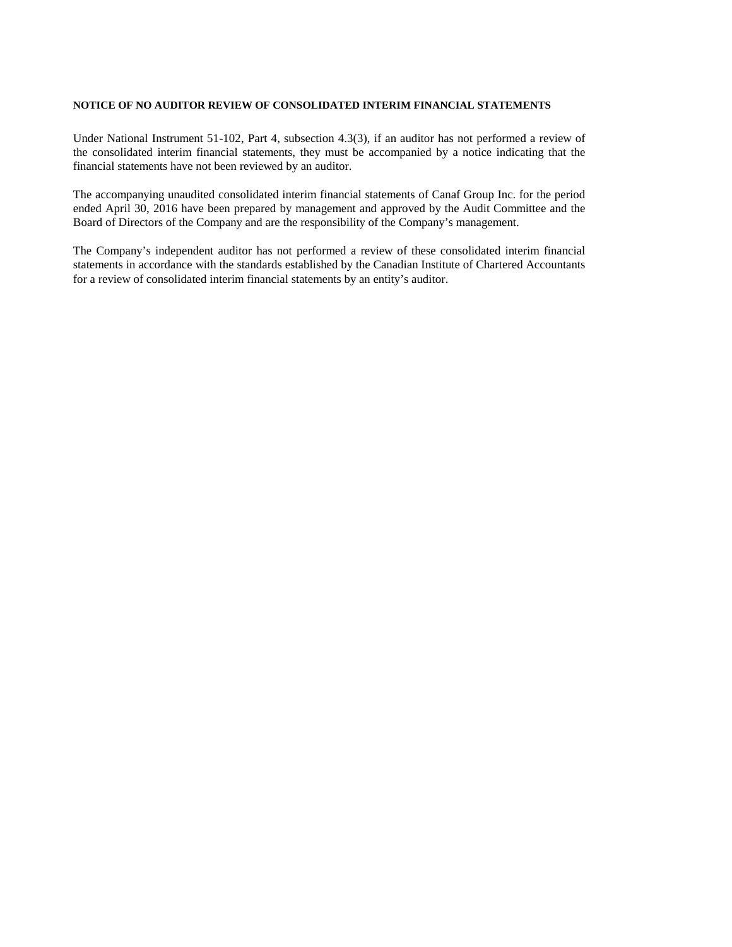#### **NOTICE OF NO AUDITOR REVIEW OF CONSOLIDATED INTERIM FINANCIAL STATEMENTS**

Under National Instrument 51-102, Part 4, subsection 4.3(3), if an auditor has not performed a review of the consolidated interim financial statements, they must be accompanied by a notice indicating that the financial statements have not been reviewed by an auditor.

The accompanying unaudited consolidated interim financial statements of Canaf Group Inc. for the period ended April 30, 2016 have been prepared by management and approved by the Audit Committee and the Board of Directors of the Company and are the responsibility of the Company's management.

The Company's independent auditor has not performed a review of these consolidated interim financial statements in accordance with the standards established by the Canadian Institute of Chartered Accountants for a review of consolidated interim financial statements by an entity's auditor.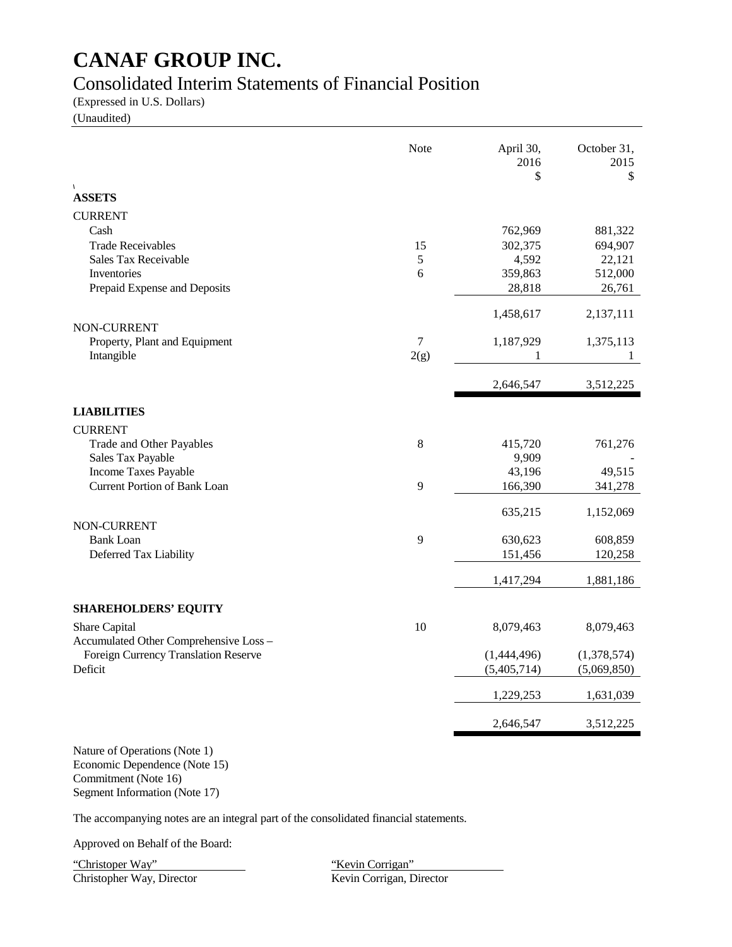### Consolidated Interim Statements of Financial Position

(Expressed in U.S. Dollars)

(Unaudited)

|                                        | Note  | April 30,<br>2016<br>\$ | October 31,<br>2015<br>\$ |
|----------------------------------------|-------|-------------------------|---------------------------|
| $\sqrt{2}$<br><b>ASSETS</b>            |       |                         |                           |
| <b>CURRENT</b>                         |       |                         |                           |
| Cash                                   |       | 762,969                 | 881,322                   |
| <b>Trade Receivables</b>               | 15    | 302,375                 | 694,907                   |
| <b>Sales Tax Receivable</b>            | 5     | 4,592                   | 22,121                    |
| Inventories                            | 6     | 359,863                 | 512,000                   |
| Prepaid Expense and Deposits           |       | 28,818                  | 26,761                    |
| NON-CURRENT                            |       | 1,458,617               | 2,137,111                 |
| Property, Plant and Equipment          | 7     | 1,187,929               | 1,375,113                 |
| Intangible                             | 2(g)  | 1                       | 1                         |
|                                        |       | 2,646,547               | 3,512,225                 |
| <b>LIABILITIES</b>                     |       |                         |                           |
| <b>CURRENT</b>                         |       |                         |                           |
| Trade and Other Payables               | $8\,$ | 415,720                 | 761,276                   |
| Sales Tax Payable                      |       | 9,909                   |                           |
| Income Taxes Payable                   |       | 43,196                  | 49,515                    |
| <b>Current Portion of Bank Loan</b>    | 9     | 166,390                 | 341,278                   |
|                                        |       | 635,215                 | 1,152,069                 |
| NON-CURRENT                            |       |                         |                           |
| <b>Bank Loan</b>                       | 9     | 630,623                 | 608,859                   |
| Deferred Tax Liability                 |       | 151,456                 | 120,258                   |
|                                        |       | 1,417,294               | 1,881,186                 |
| <b>SHAREHOLDERS' EQUITY</b>            |       |                         |                           |
| Share Capital                          | 10    | 8,079,463               | 8,079,463                 |
| Accumulated Other Comprehensive Loss - |       |                         |                           |
| Foreign Currency Translation Reserve   |       | (1,444,496)             | (1,378,574)               |
| Deficit                                |       | (5,405,714)             | (5,069,850)               |
|                                        |       | 1,229,253               | 1,631,039                 |
|                                        |       | 2,646,547               | 3,512,225                 |

Nature of Operations (Note 1) Economic Dependence (Note 15) Commitment (Note 16) Segment Information (Note 17)

The accompanying notes are an integral part of the consolidated financial statements.

Approved on Behalf of the Board:

"Christoper Way" "Christopher Way, Director" ("Kevin Corrigan" ("Kevin Corrigan" ("Kevin Corrigan" ("Kevin Corrigan" ("Kevin Corrigan" ("Kevin Corrigan" ("Kevin Corrigan" ("Kevin Corrigan" ("Kevin Corrigan" ("Kevin Corriga Christopher Way, Director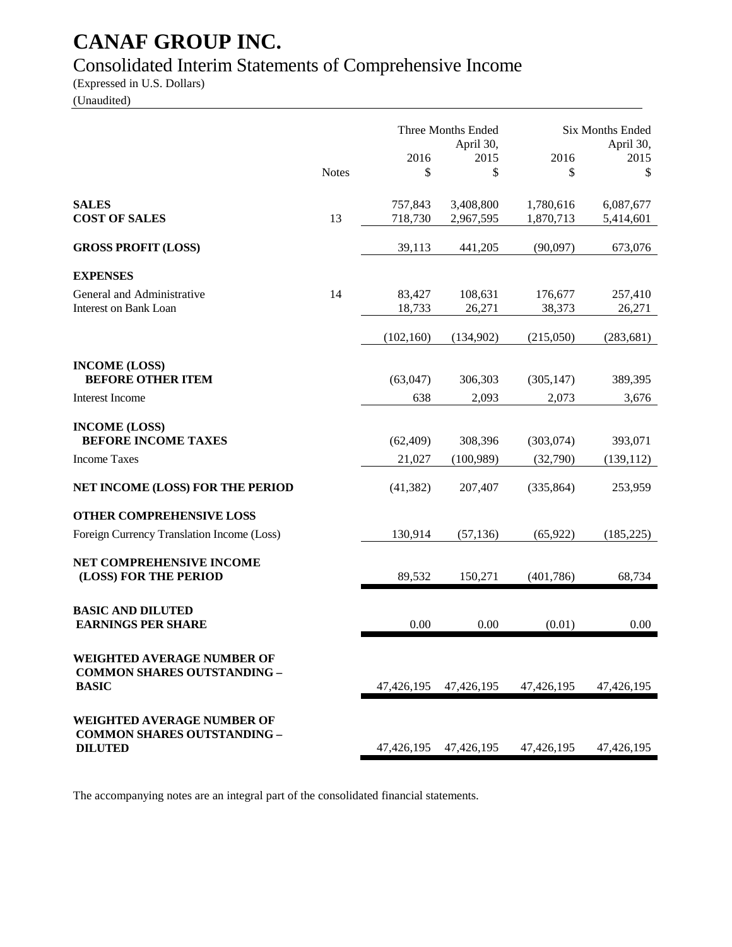# Consolidated Interim Statements of Comprehensive Income

(Expressed in U.S. Dollars)

(Unaudited)

|                                                                                           | <b>Notes</b> | 2016<br>\$         | Three Months Ended<br>April 30,<br>2015<br>\$ | 2016<br>\$             | <b>Six Months Ended</b><br>April 30,<br>2015<br>\$ |
|-------------------------------------------------------------------------------------------|--------------|--------------------|-----------------------------------------------|------------------------|----------------------------------------------------|
| <b>SALES</b><br><b>COST OF SALES</b>                                                      | 13           | 757,843<br>718,730 | 3,408,800<br>2,967,595                        | 1,780,616<br>1,870,713 | 6,087,677<br>5,414,601                             |
| <b>GROSS PROFIT (LOSS)</b>                                                                |              | 39,113             | 441,205                                       | (90,097)               | 673,076                                            |
| <b>EXPENSES</b>                                                                           |              |                    |                                               |                        |                                                    |
| General and Administrative<br><b>Interest on Bank Loan</b>                                | 14           | 83,427<br>18,733   | 108,631<br>26,271                             | 176,677<br>38,373      | 257,410<br>26,271                                  |
|                                                                                           |              | (102, 160)         | (134,902)                                     | (215,050)              | (283, 681)                                         |
| <b>INCOME (LOSS)</b><br><b>BEFORE OTHER ITEM</b>                                          |              | (63,047)           | 306,303                                       | (305, 147)             | 389,395                                            |
| Interest Income                                                                           |              | 638                | 2,093                                         | 2,073                  | 3,676                                              |
| <b>INCOME (LOSS)</b><br><b>BEFORE INCOME TAXES</b>                                        |              | (62, 409)          | 308,396                                       | (303, 074)             | 393,071                                            |
| <b>Income Taxes</b>                                                                       |              | 21,027             | (100, 989)                                    | (32,790)               | (139, 112)                                         |
| NET INCOME (LOSS) FOR THE PERIOD                                                          |              | (41, 382)          | 207,407                                       | (335, 864)             | 253,959                                            |
| <b>OTHER COMPREHENSIVE LOSS</b>                                                           |              |                    |                                               |                        |                                                    |
| Foreign Currency Translation Income (Loss)                                                |              | 130,914            | (57, 136)                                     | (65, 922)              | (185, 225)                                         |
| NET COMPREHENSIVE INCOME<br>(LOSS) FOR THE PERIOD                                         |              | 89,532             | 150,271                                       | (401,786)              | 68,734                                             |
| <b>BASIC AND DILUTED</b><br><b>EARNINGS PER SHARE</b>                                     |              | 0.00               | 0.00                                          | (0.01)                 | 0.00                                               |
| <b>WEIGHTED AVERAGE NUMBER OF</b><br><b>COMMON SHARES OUTSTANDING -</b><br><b>BASIC</b>   |              | 47,426,195         | 47,426,195                                    | 47,426,195             | 47,426,195                                         |
| <b>WEIGHTED AVERAGE NUMBER OF</b><br><b>COMMON SHARES OUTSTANDING -</b><br><b>DILUTED</b> |              | 47,426,195         | 47,426,195                                    | 47,426,195             | 47,426,195                                         |

The accompanying notes are an integral part of the consolidated financial statements.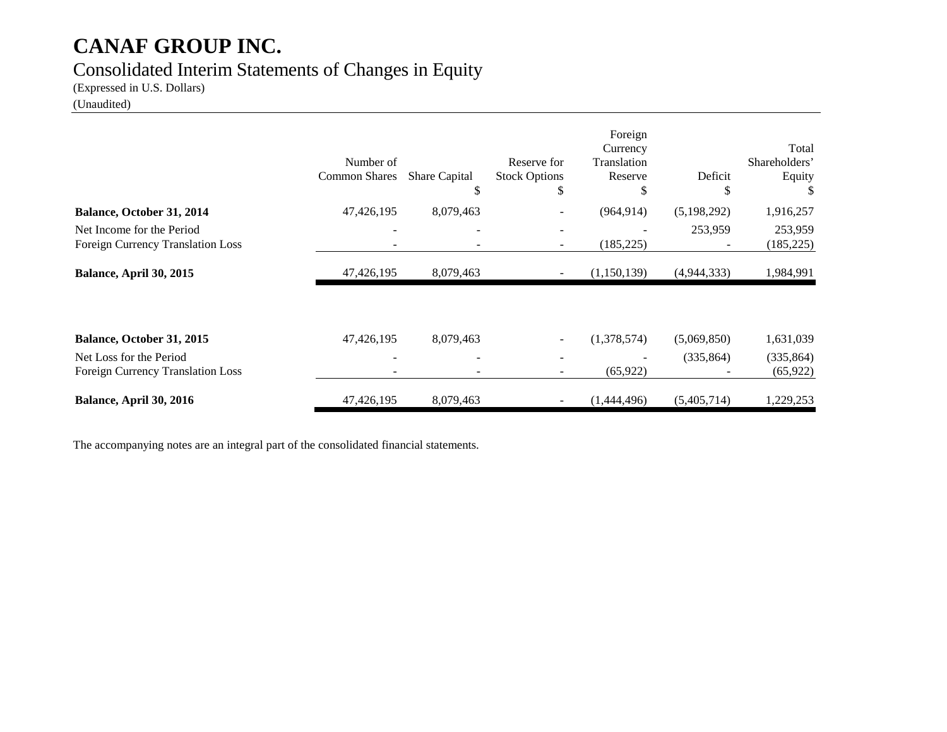### Consolidated Interim Statements of Changes in Equity

(Expressed in U.S. Dollars)

(Unaudited)

|                                                                | Number of<br><b>Common Shares</b> | Share Capital<br>S       | Reserve for<br><b>Stock Options</b><br>\$            | Foreign<br>Currency<br>Translation<br>Reserve<br>S | Deficit<br>S | Total<br>Shareholders'<br>Equity |
|----------------------------------------------------------------|-----------------------------------|--------------------------|------------------------------------------------------|----------------------------------------------------|--------------|----------------------------------|
| Balance, October 31, 2014                                      | 47,426,195                        | 8,079,463                |                                                      | (964, 914)                                         | (5,198,292)  | 1,916,257                        |
| Net Income for the Period<br>Foreign Currency Translation Loss | $\overline{\phantom{a}}$          | $\overline{\phantom{a}}$ | $\overline{\phantom{a}}$<br>$\overline{\phantom{a}}$ | (185, 225)                                         | 253,959      | 253,959<br>(185, 225)            |
| <b>Balance, April 30, 2015</b>                                 | 47,426,195                        | 8,079,463                |                                                      | (1,150,139)                                        | (4,944,333)  | 1,984,991                        |
| Balance, October 31, 2015                                      | 47,426,195                        | 8,079,463                |                                                      | (1,378,574)                                        | (5,069,850)  | 1,631,039                        |
| Net Loss for the Period<br>Foreign Currency Translation Loss   | $\overline{\phantom{a}}$          |                          |                                                      | (65, 922)                                          | (335, 864)   | (335, 864)<br>(65, 922)          |
| Balance, April 30, 2016                                        | 47,426,195                        | 8,079,463                |                                                      | (1,444,496)                                        | (5,405,714)  | 1,229,253                        |

The accompanying notes are an integral part of the consolidated financial statements.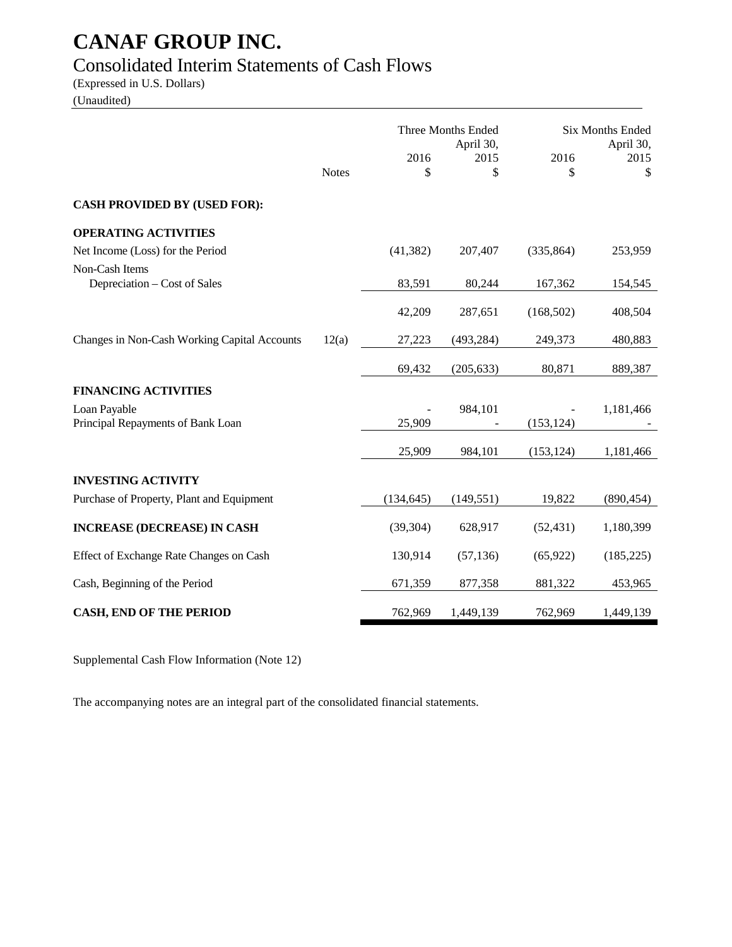### Consolidated Interim Statements of Cash Flows

(Expressed in U.S. Dollars)

(Unaudited)

|                                                   |              | <b>Three Months Ended</b><br>April 30, |            |            | <b>Six Months Ended</b><br>April 30, |
|---------------------------------------------------|--------------|----------------------------------------|------------|------------|--------------------------------------|
|                                                   | <b>Notes</b> | 2016<br>\$                             | 2015<br>\$ | 2016<br>\$ | 2015<br>\$                           |
| <b>CASH PROVIDED BY (USED FOR):</b>               |              |                                        |            |            |                                      |
| <b>OPERATING ACTIVITIES</b>                       |              |                                        |            |            |                                      |
| Net Income (Loss) for the Period                  |              | (41, 382)                              | 207,407    | (335, 864) | 253,959                              |
| Non-Cash Items<br>Depreciation – Cost of Sales    |              | 83,591                                 | 80,244     | 167,362    | 154,545                              |
|                                                   |              | 42,209                                 | 287,651    | (168, 502) | 408,504                              |
| Changes in Non-Cash Working Capital Accounts      | 12(a)        | 27,223                                 | (493, 284) | 249,373    | 480,883                              |
|                                                   |              | 69,432                                 | (205, 633) | 80,871     | 889,387                              |
| <b>FINANCING ACTIVITIES</b>                       |              |                                        |            |            |                                      |
| Loan Payable<br>Principal Repayments of Bank Loan |              | 25,909                                 | 984,101    | (153, 124) | 1,181,466                            |
|                                                   |              | 25,909                                 | 984,101    | (153, 124) | 1,181,466                            |
| <b>INVESTING ACTIVITY</b>                         |              |                                        |            |            |                                      |
| Purchase of Property, Plant and Equipment         |              | (134, 645)                             | (149, 551) | 19,822     | (890, 454)                           |
| <b>INCREASE (DECREASE) IN CASH</b>                |              | (39, 304)                              | 628,917    | (52, 431)  | 1,180,399                            |
| Effect of Exchange Rate Changes on Cash           |              | 130,914                                | (57, 136)  | (65, 922)  | (185, 225)                           |
| Cash, Beginning of the Period                     |              | 671,359                                | 877,358    | 881,322    | 453,965                              |
| <b>CASH, END OF THE PERIOD</b>                    |              | 762,969                                | 1,449,139  | 762,969    | 1,449,139                            |

Supplemental Cash Flow Information (Note 12)

The accompanying notes are an integral part of the consolidated financial statements.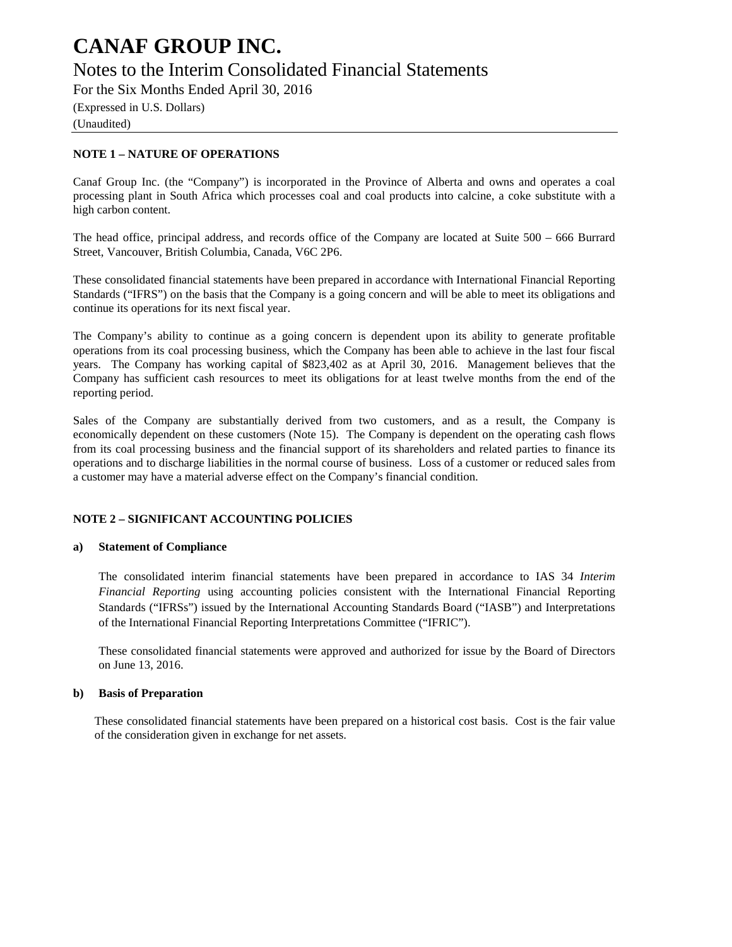### Notes to the Interim Consolidated Financial Statements

For the Six Months Ended April 30, 2016

(Expressed in U.S. Dollars)

(Unaudited)

#### **NOTE 1 – NATURE OF OPERATIONS**

Canaf Group Inc. (the "Company") is incorporated in the Province of Alberta and owns and operates a coal processing plant in South Africa which processes coal and coal products into calcine, a coke substitute with a high carbon content.

The head office, principal address, and records office of the Company are located at Suite 500 – 666 Burrard Street, Vancouver, British Columbia, Canada, V6C 2P6.

These consolidated financial statements have been prepared in accordance with International Financial Reporting Standards ("IFRS") on the basis that the Company is a going concern and will be able to meet its obligations and continue its operations for its next fiscal year.

The Company's ability to continue as a going concern is dependent upon its ability to generate profitable operations from its coal processing business, which the Company has been able to achieve in the last four fiscal years. The Company has working capital of \$823,402 as at April 30, 2016. Management believes that the Company has sufficient cash resources to meet its obligations for at least twelve months from the end of the reporting period.

Sales of the Company are substantially derived from two customers, and as a result, the Company is economically dependent on these customers (Note 15). The Company is dependent on the operating cash flows from its coal processing business and the financial support of its shareholders and related parties to finance its operations and to discharge liabilities in the normal course of business. Loss of a customer or reduced sales from a customer may have a material adverse effect on the Company's financial condition.

#### **NOTE 2 – SIGNIFICANT ACCOUNTING POLICIES**

#### **a) Statement of Compliance**

The consolidated interim financial statements have been prepared in accordance to IAS 34 *Interim Financial Reporting* using accounting policies consistent with the International Financial Reporting Standards ("IFRSs") issued by the International Accounting Standards Board ("IASB") and Interpretations of the International Financial Reporting Interpretations Committee ("IFRIC").

These consolidated financial statements were approved and authorized for issue by the Board of Directors on June 13, 2016.

#### **b) Basis of Preparation**

These consolidated financial statements have been prepared on a historical cost basis. Cost is the fair value of the consideration given in exchange for net assets.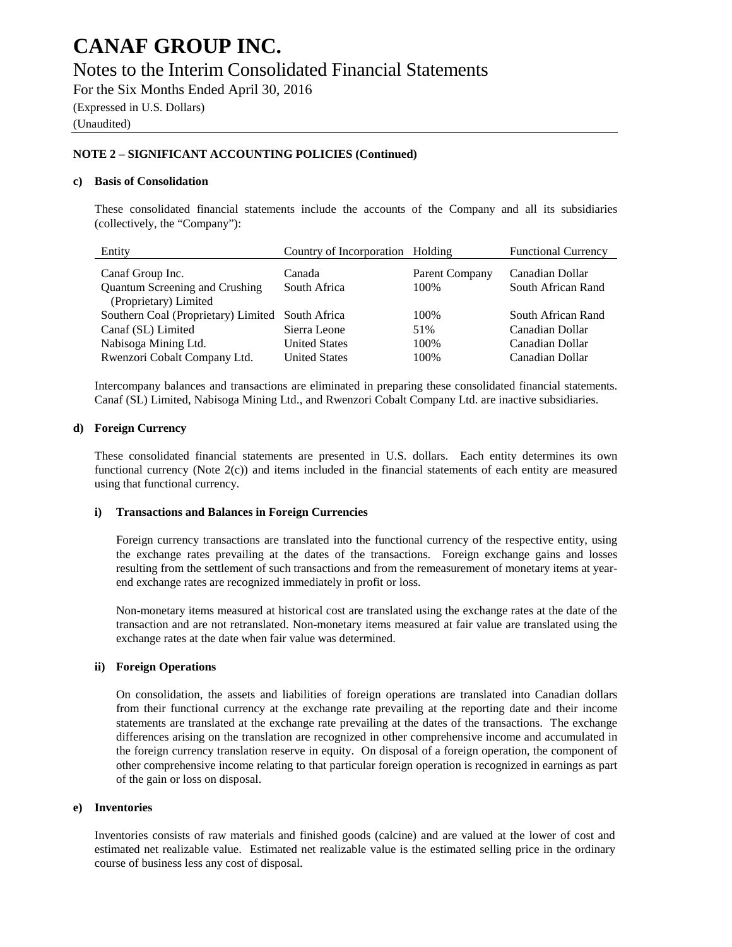### Notes to the Interim Consolidated Financial Statements

For the Six Months Ended April 30, 2016

(Expressed in U.S. Dollars)

(Unaudited)

#### **NOTE 2 – SIGNIFICANT ACCOUNTING POLICIES (Continued)**

#### **c) Basis of Consolidation**

These consolidated financial statements include the accounts of the Company and all its subsidiaries (collectively, the "Company"):

| Entity                              | Country of Incorporation Holding |                | <b>Functional Currency</b> |
|-------------------------------------|----------------------------------|----------------|----------------------------|
| Canaf Group Inc.                    | Canada                           | Parent Company | Canadian Dollar            |
| Quantum Screening and Crushing      | South Africa                     | 100\%          | South African Rand         |
| (Proprietary) Limited               |                                  |                |                            |
| Southern Coal (Proprietary) Limited | South Africa                     | 100%           | South African Rand         |
| Canaf (SL) Limited                  | Sierra Leone                     | 51%            | Canadian Dollar            |
| Nabisoga Mining Ltd.                | <b>United States</b>             | 100\%          | Canadian Dollar            |
| Rwenzori Cobalt Company Ltd.        | <b>United States</b>             | 100%           | Canadian Dollar            |

Intercompany balances and transactions are eliminated in preparing these consolidated financial statements. Canaf (SL) Limited, Nabisoga Mining Ltd., and Rwenzori Cobalt Company Ltd. are inactive subsidiaries.

#### **d) Foreign Currency**

These consolidated financial statements are presented in U.S. dollars. Each entity determines its own functional currency (Note 2(c)) and items included in the financial statements of each entity are measured using that functional currency.

#### **i) Transactions and Balances in Foreign Currencies**

Foreign currency transactions are translated into the functional currency of the respective entity, using the exchange rates prevailing at the dates of the transactions. Foreign exchange gains and losses resulting from the settlement of such transactions and from the remeasurement of monetary items at yearend exchange rates are recognized immediately in profit or loss.

Non-monetary items measured at historical cost are translated using the exchange rates at the date of the transaction and are not retranslated. Non-monetary items measured at fair value are translated using the exchange rates at the date when fair value was determined.

#### **ii) Foreign Operations**

On consolidation, the assets and liabilities of foreign operations are translated into Canadian dollars from their functional currency at the exchange rate prevailing at the reporting date and their income statements are translated at the exchange rate prevailing at the dates of the transactions. The exchange differences arising on the translation are recognized in other comprehensive income and accumulated in the foreign currency translation reserve in equity. On disposal of a foreign operation, the component of other comprehensive income relating to that particular foreign operation is recognized in earnings as part of the gain or loss on disposal.

#### **e) Inventories**

Inventories consists of raw materials and finished goods (calcine) and are valued at the lower of cost and estimated net realizable value. Estimated net realizable value is the estimated selling price in the ordinary course of business less any cost of disposal.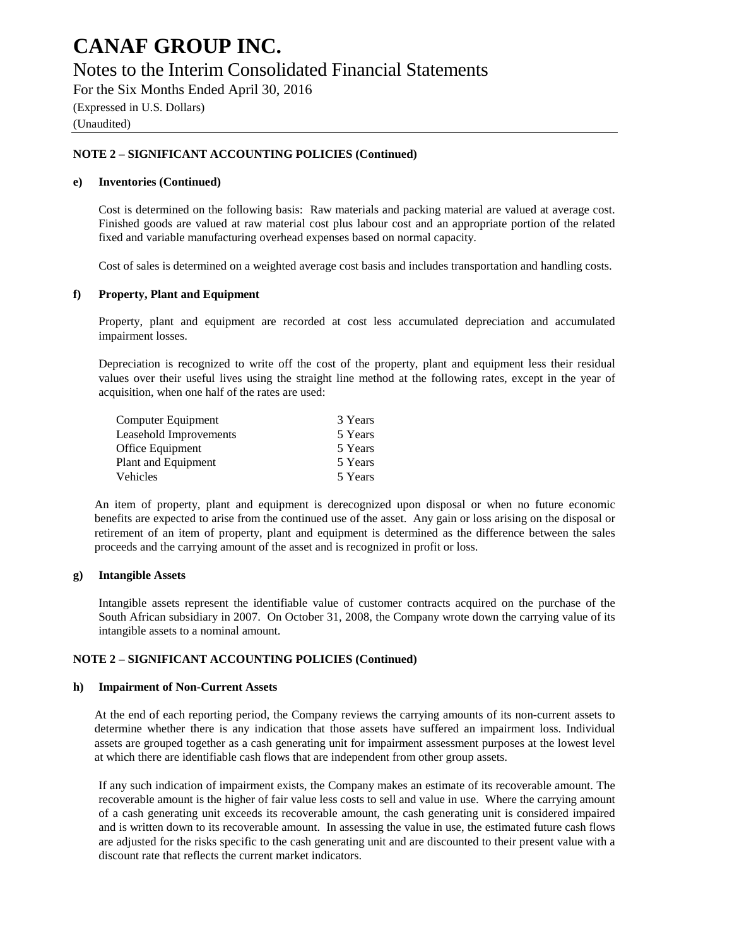### Notes to the Interim Consolidated Financial Statements

For the Six Months Ended April 30, 2016

(Expressed in U.S. Dollars)

(Unaudited)

#### **NOTE 2 – SIGNIFICANT ACCOUNTING POLICIES (Continued)**

#### **e) Inventories (Continued)**

Cost is determined on the following basis: Raw materials and packing material are valued at average cost. Finished goods are valued at raw material cost plus labour cost and an appropriate portion of the related fixed and variable manufacturing overhead expenses based on normal capacity.

Cost of sales is determined on a weighted average cost basis and includes transportation and handling costs.

#### **f) Property, Plant and Equipment**

Property, plant and equipment are recorded at cost less accumulated depreciation and accumulated impairment losses.

Depreciation is recognized to write off the cost of the property, plant and equipment less their residual values over their useful lives using the straight line method at the following rates, except in the year of acquisition, when one half of the rates are used:

| Computer Equipment     | 3 Years |
|------------------------|---------|
| Leasehold Improvements | 5 Years |
| Office Equipment       | 5 Years |
| Plant and Equipment    | 5 Years |
| Vehicles               | 5 Years |

An item of property, plant and equipment is derecognized upon disposal or when no future economic benefits are expected to arise from the continued use of the asset. Any gain or loss arising on the disposal or retirement of an item of property, plant and equipment is determined as the difference between the sales proceeds and the carrying amount of the asset and is recognized in profit or loss.

#### **g) Intangible Assets**

Intangible assets represent the identifiable value of customer contracts acquired on the purchase of the South African subsidiary in 2007. On October 31, 2008, the Company wrote down the carrying value of its intangible assets to a nominal amount.

#### **NOTE 2 – SIGNIFICANT ACCOUNTING POLICIES (Continued)**

#### **h) Impairment of Non-Current Assets**

At the end of each reporting period, the Company reviews the carrying amounts of its non-current assets to determine whether there is any indication that those assets have suffered an impairment loss. Individual assets are grouped together as a cash generating unit for impairment assessment purposes at the lowest level at which there are identifiable cash flows that are independent from other group assets.

If any such indication of impairment exists, the Company makes an estimate of its recoverable amount. The recoverable amount is the higher of fair value less costs to sell and value in use. Where the carrying amount of a cash generating unit exceeds its recoverable amount, the cash generating unit is considered impaired and is written down to its recoverable amount. In assessing the value in use, the estimated future cash flows are adjusted for the risks specific to the cash generating unit and are discounted to their present value with a discount rate that reflects the current market indicators.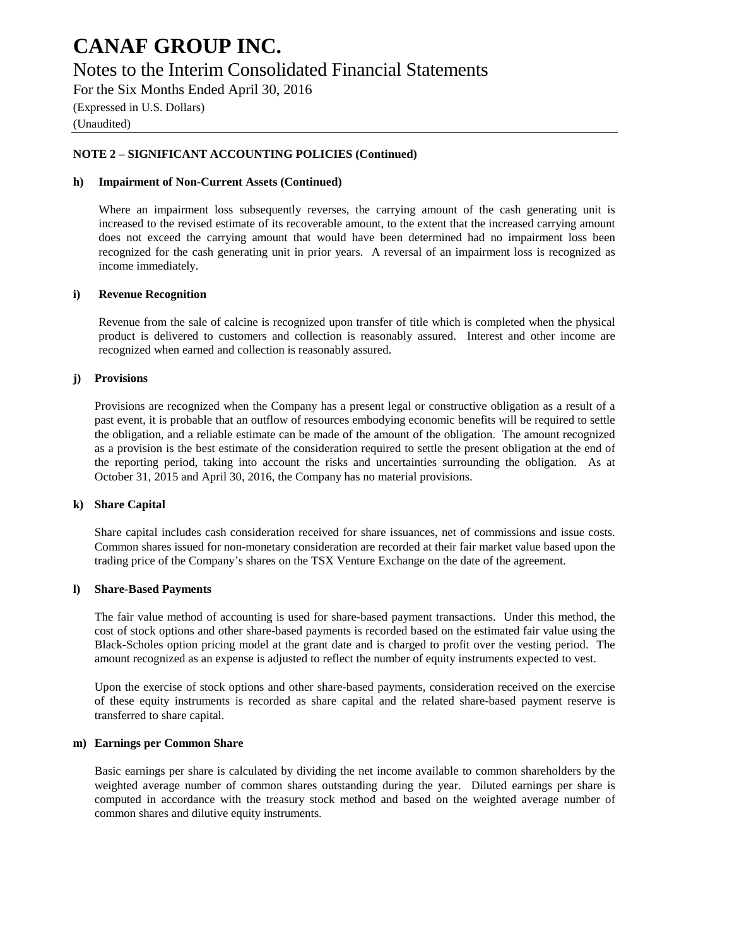### Notes to the Interim Consolidated Financial Statements

For the Six Months Ended April 30, 2016

(Expressed in U.S. Dollars) (Unaudited)

#### **NOTE 2 – SIGNIFICANT ACCOUNTING POLICIES (Continued)**

#### **h) Impairment of Non-Current Assets (Continued)**

Where an impairment loss subsequently reverses, the carrying amount of the cash generating unit is increased to the revised estimate of its recoverable amount, to the extent that the increased carrying amount does not exceed the carrying amount that would have been determined had no impairment loss been recognized for the cash generating unit in prior years. A reversal of an impairment loss is recognized as income immediately.

#### **i) Revenue Recognition**

Revenue from the sale of calcine is recognized upon transfer of title which is completed when the physical product is delivered to customers and collection is reasonably assured. Interest and other income are recognized when earned and collection is reasonably assured.

#### **j) Provisions**

Provisions are recognized when the Company has a present legal or constructive obligation as a result of a past event, it is probable that an outflow of resources embodying economic benefits will be required to settle the obligation, and a reliable estimate can be made of the amount of the obligation. The amount recognized as a provision is the best estimate of the consideration required to settle the present obligation at the end of the reporting period, taking into account the risks and uncertainties surrounding the obligation. As at October 31, 2015 and April 30, 2016, the Company has no material provisions.

#### **k) Share Capital**

Share capital includes cash consideration received for share issuances, net of commissions and issue costs. Common shares issued for non-monetary consideration are recorded at their fair market value based upon the trading price of the Company's shares on the TSX Venture Exchange on the date of the agreement.

#### **l) Share-Based Payments**

The fair value method of accounting is used for share-based payment transactions. Under this method, the cost of stock options and other share-based payments is recorded based on the estimated fair value using the Black-Scholes option pricing model at the grant date and is charged to profit over the vesting period. The amount recognized as an expense is adjusted to reflect the number of equity instruments expected to vest.

Upon the exercise of stock options and other share-based payments, consideration received on the exercise of these equity instruments is recorded as share capital and the related share-based payment reserve is transferred to share capital.

#### **m) Earnings per Common Share**

Basic earnings per share is calculated by dividing the net income available to common shareholders by the weighted average number of common shares outstanding during the year. Diluted earnings per share is computed in accordance with the treasury stock method and based on the weighted average number of common shares and dilutive equity instruments.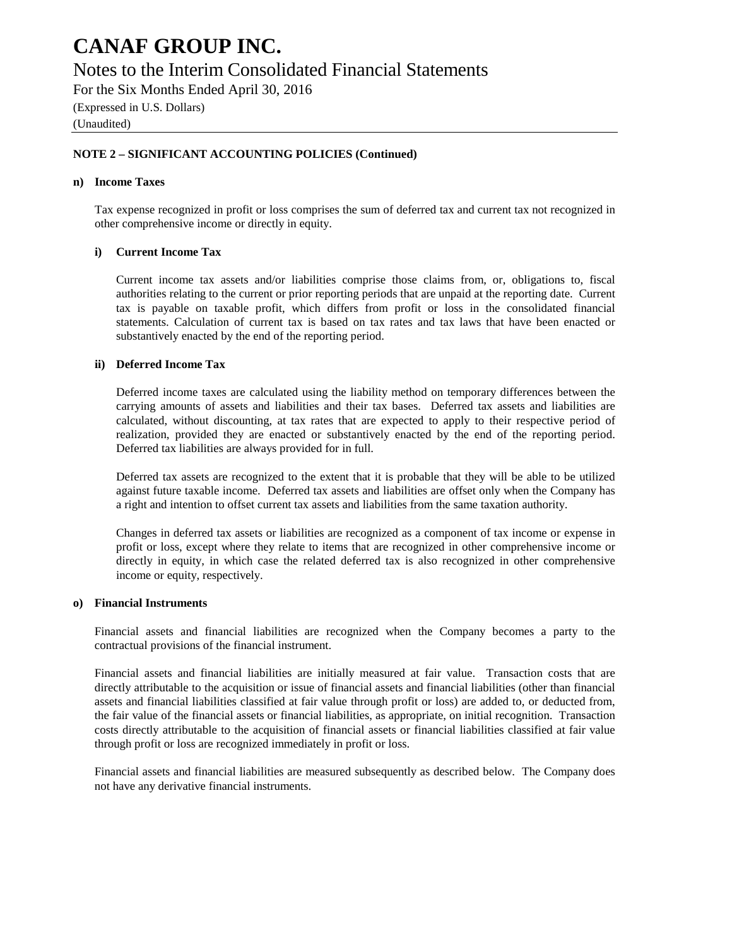### Notes to the Interim Consolidated Financial Statements

For the Six Months Ended April 30, 2016

(Expressed in U.S. Dollars)

(Unaudited)

#### **NOTE 2 – SIGNIFICANT ACCOUNTING POLICIES (Continued)**

#### **n) Income Taxes**

Tax expense recognized in profit or loss comprises the sum of deferred tax and current tax not recognized in other comprehensive income or directly in equity.

#### **i) Current Income Tax**

Current income tax assets and/or liabilities comprise those claims from, or, obligations to, fiscal authorities relating to the current or prior reporting periods that are unpaid at the reporting date. Current tax is payable on taxable profit, which differs from profit or loss in the consolidated financial statements. Calculation of current tax is based on tax rates and tax laws that have been enacted or substantively enacted by the end of the reporting period.

#### **ii) Deferred Income Tax**

Deferred income taxes are calculated using the liability method on temporary differences between the carrying amounts of assets and liabilities and their tax bases. Deferred tax assets and liabilities are calculated, without discounting, at tax rates that are expected to apply to their respective period of realization, provided they are enacted or substantively enacted by the end of the reporting period. Deferred tax liabilities are always provided for in full.

Deferred tax assets are recognized to the extent that it is probable that they will be able to be utilized against future taxable income. Deferred tax assets and liabilities are offset only when the Company has a right and intention to offset current tax assets and liabilities from the same taxation authority.

Changes in deferred tax assets or liabilities are recognized as a component of tax income or expense in profit or loss, except where they relate to items that are recognized in other comprehensive income or directly in equity, in which case the related deferred tax is also recognized in other comprehensive income or equity, respectively.

#### **o) Financial Instruments**

Financial assets and financial liabilities are recognized when the Company becomes a party to the contractual provisions of the financial instrument.

Financial assets and financial liabilities are initially measured at fair value. Transaction costs that are directly attributable to the acquisition or issue of financial assets and financial liabilities (other than financial assets and financial liabilities classified at fair value through profit or loss) are added to, or deducted from, the fair value of the financial assets or financial liabilities, as appropriate, on initial recognition. Transaction costs directly attributable to the acquisition of financial assets or financial liabilities classified at fair value through profit or loss are recognized immediately in profit or loss.

Financial assets and financial liabilities are measured subsequently as described below. The Company does not have any derivative financial instruments.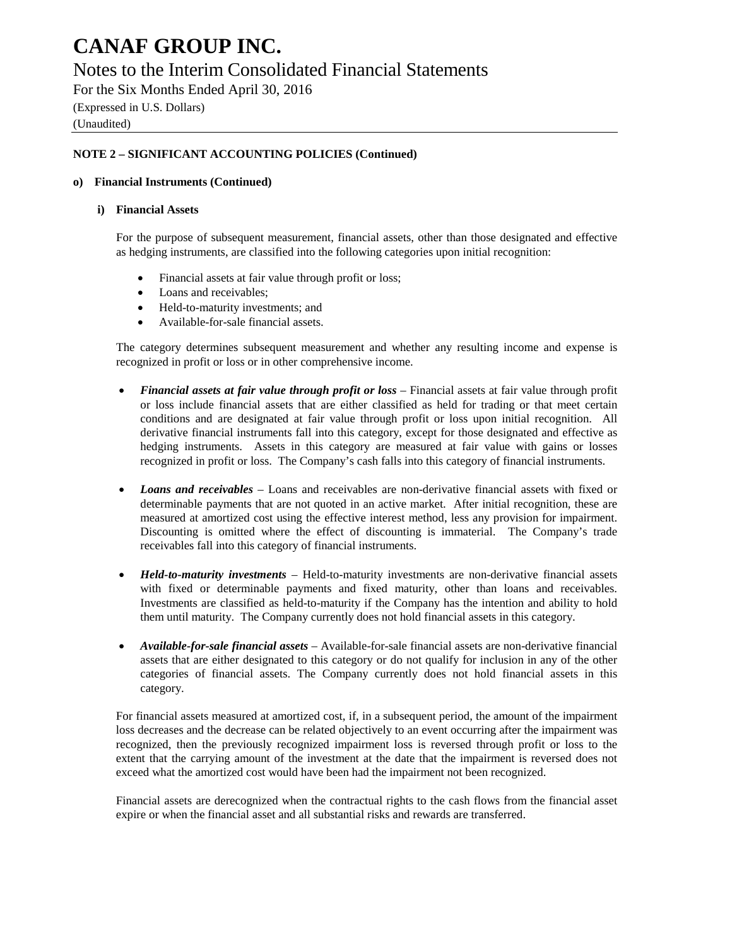### Notes to the Interim Consolidated Financial Statements

For the Six Months Ended April 30, 2016 (Expressed in U.S. Dollars)

(Unaudited)

#### **NOTE 2 – SIGNIFICANT ACCOUNTING POLICIES (Continued)**

#### **o) Financial Instruments (Continued)**

#### **i) Financial Assets**

For the purpose of subsequent measurement, financial assets, other than those designated and effective as hedging instruments, are classified into the following categories upon initial recognition:

- Financial assets at fair value through profit or loss;
- Loans and receivables;
- Held-to-maturity investments; and
- Available-for-sale financial assets.

The category determines subsequent measurement and whether any resulting income and expense is recognized in profit or loss or in other comprehensive income.

- *Financial assets at fair value through profit or loss* Financial assets at fair value through profit or loss include financial assets that are either classified as held for trading or that meet certain conditions and are designated at fair value through profit or loss upon initial recognition. All derivative financial instruments fall into this category, except for those designated and effective as hedging instruments. Assets in this category are measured at fair value with gains or losses recognized in profit or loss. The Company's cash falls into this category of financial instruments.
- *Loans and receivables* Loans and receivables are non-derivative financial assets with fixed or determinable payments that are not quoted in an active market. After initial recognition, these are measured at amortized cost using the effective interest method, less any provision for impairment. Discounting is omitted where the effect of discounting is immaterial. The Company's trade receivables fall into this category of financial instruments.
- *Held-to-maturity investments* Held-to-maturity investments are non-derivative financial assets with fixed or determinable payments and fixed maturity, other than loans and receivables. Investments are classified as held-to-maturity if the Company has the intention and ability to hold them until maturity. The Company currently does not hold financial assets in this category.
- *Available-for-sale financial assets* Available-for-sale financial assets are non-derivative financial assets that are either designated to this category or do not qualify for inclusion in any of the other categories of financial assets. The Company currently does not hold financial assets in this category.

For financial assets measured at amortized cost, if, in a subsequent period, the amount of the impairment loss decreases and the decrease can be related objectively to an event occurring after the impairment was recognized, then the previously recognized impairment loss is reversed through profit or loss to the extent that the carrying amount of the investment at the date that the impairment is reversed does not exceed what the amortized cost would have been had the impairment not been recognized.

Financial assets are derecognized when the contractual rights to the cash flows from the financial asset expire or when the financial asset and all substantial risks and rewards are transferred.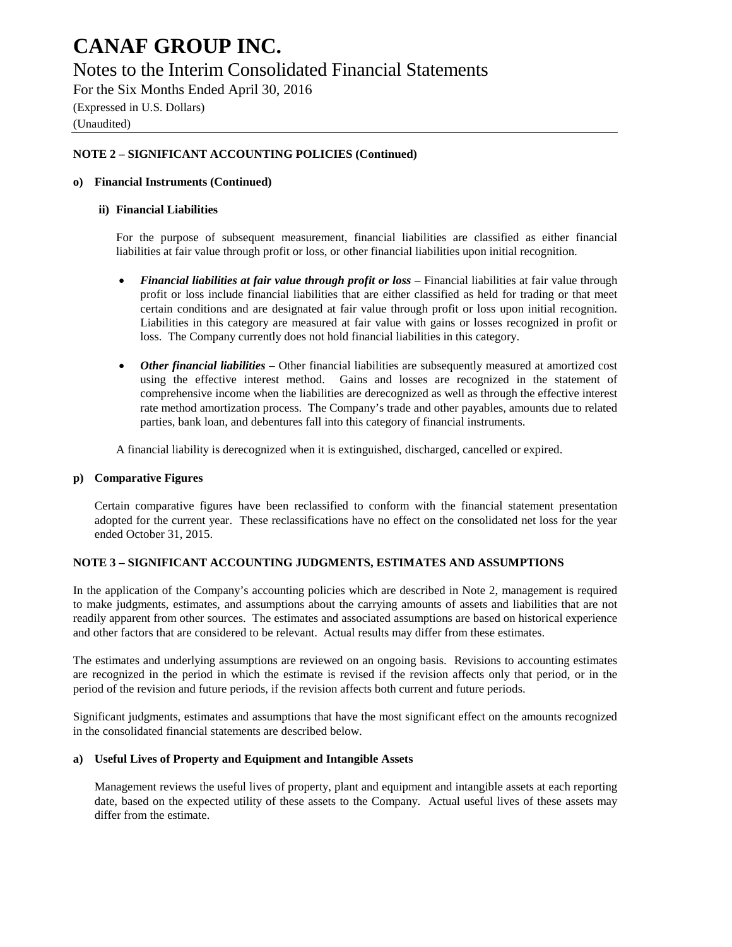### Notes to the Interim Consolidated Financial Statements

For the Six Months Ended April 30, 2016 (Expressed in U.S. Dollars)

(Unaudited)

#### **NOTE 2 – SIGNIFICANT ACCOUNTING POLICIES (Continued)**

#### **o) Financial Instruments (Continued)**

#### **ii) Financial Liabilities**

For the purpose of subsequent measurement, financial liabilities are classified as either financial liabilities at fair value through profit or loss, or other financial liabilities upon initial recognition.

- *Financial liabilities at fair value through profit or loss* Financial liabilities at fair value through profit or loss include financial liabilities that are either classified as held for trading or that meet certain conditions and are designated at fair value through profit or loss upon initial recognition. Liabilities in this category are measured at fair value with gains or losses recognized in profit or loss. The Company currently does not hold financial liabilities in this category.
- *Other financial liabilities*  Other financial liabilities are subsequently measured at amortized cost using the effective interest method. Gains and losses are recognized in the statement of comprehensive income when the liabilities are derecognized as well as through the effective interest rate method amortization process. The Company's trade and other payables, amounts due to related parties, bank loan, and debentures fall into this category of financial instruments.

A financial liability is derecognized when it is extinguished, discharged, cancelled or expired.

#### **p) Comparative Figures**

Certain comparative figures have been reclassified to conform with the financial statement presentation adopted for the current year. These reclassifications have no effect on the consolidated net loss for the year ended October 31, 2015.

#### **NOTE 3 – SIGNIFICANT ACCOUNTING JUDGMENTS, ESTIMATES AND ASSUMPTIONS**

In the application of the Company's accounting policies which are described in Note 2, management is required to make judgments, estimates, and assumptions about the carrying amounts of assets and liabilities that are not readily apparent from other sources. The estimates and associated assumptions are based on historical experience and other factors that are considered to be relevant. Actual results may differ from these estimates.

The estimates and underlying assumptions are reviewed on an ongoing basis. Revisions to accounting estimates are recognized in the period in which the estimate is revised if the revision affects only that period, or in the period of the revision and future periods, if the revision affects both current and future periods.

Significant judgments, estimates and assumptions that have the most significant effect on the amounts recognized in the consolidated financial statements are described below.

#### **a) Useful Lives of Property and Equipment and Intangible Assets**

Management reviews the useful lives of property, plant and equipment and intangible assets at each reporting date, based on the expected utility of these assets to the Company. Actual useful lives of these assets may differ from the estimate.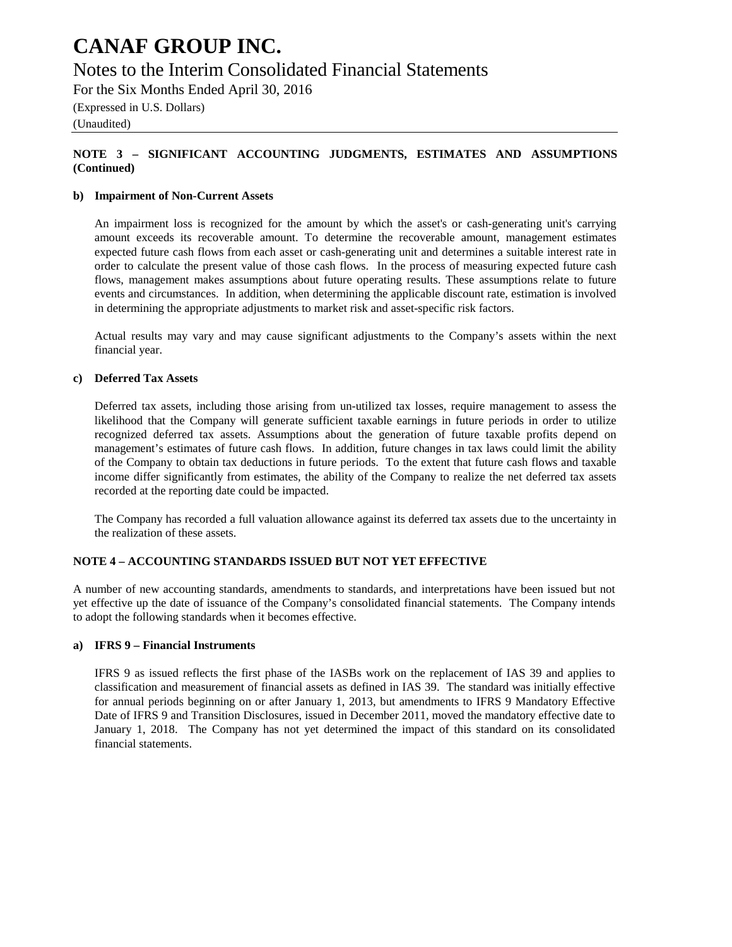### Notes to the Interim Consolidated Financial Statements

For the Six Months Ended April 30, 2016

(Expressed in U.S. Dollars)

(Unaudited)

#### **NOTE 3 – SIGNIFICANT ACCOUNTING JUDGMENTS, ESTIMATES AND ASSUMPTIONS (Continued)**

#### **b) Impairment of Non-Current Assets**

An impairment loss is recognized for the amount by which the asset's or cash-generating unit's carrying amount exceeds its recoverable amount. To determine the recoverable amount, management estimates expected future cash flows from each asset or cash-generating unit and determines a suitable interest rate in order to calculate the present value of those cash flows. In the process of measuring expected future cash flows, management makes assumptions about future operating results. These assumptions relate to future events and circumstances. In addition, when determining the applicable discount rate, estimation is involved in determining the appropriate adjustments to market risk and asset-specific risk factors.

Actual results may vary and may cause significant adjustments to the Company's assets within the next financial year.

#### **c) Deferred Tax Assets**

Deferred tax assets, including those arising from un-utilized tax losses, require management to assess the likelihood that the Company will generate sufficient taxable earnings in future periods in order to utilize recognized deferred tax assets. Assumptions about the generation of future taxable profits depend on management's estimates of future cash flows. In addition, future changes in tax laws could limit the ability of the Company to obtain tax deductions in future periods. To the extent that future cash flows and taxable income differ significantly from estimates, the ability of the Company to realize the net deferred tax assets recorded at the reporting date could be impacted.

The Company has recorded a full valuation allowance against its deferred tax assets due to the uncertainty in the realization of these assets.

#### **NOTE 4 – ACCOUNTING STANDARDS ISSUED BUT NOT YET EFFECTIVE**

A number of new accounting standards, amendments to standards, and interpretations have been issued but not yet effective up the date of issuance of the Company's consolidated financial statements. The Company intends to adopt the following standards when it becomes effective.

#### **a) IFRS 9 – Financial Instruments**

IFRS 9 as issued reflects the first phase of the IASBs work on the replacement of IAS 39 and applies to classification and measurement of financial assets as defined in IAS 39. The standard was initially effective for annual periods beginning on or after January 1, 2013, but amendments to IFRS 9 Mandatory Effective Date of IFRS 9 and Transition Disclosures, issued in December 2011, moved the mandatory effective date to January 1, 2018. The Company has not yet determined the impact of this standard on its consolidated financial statements.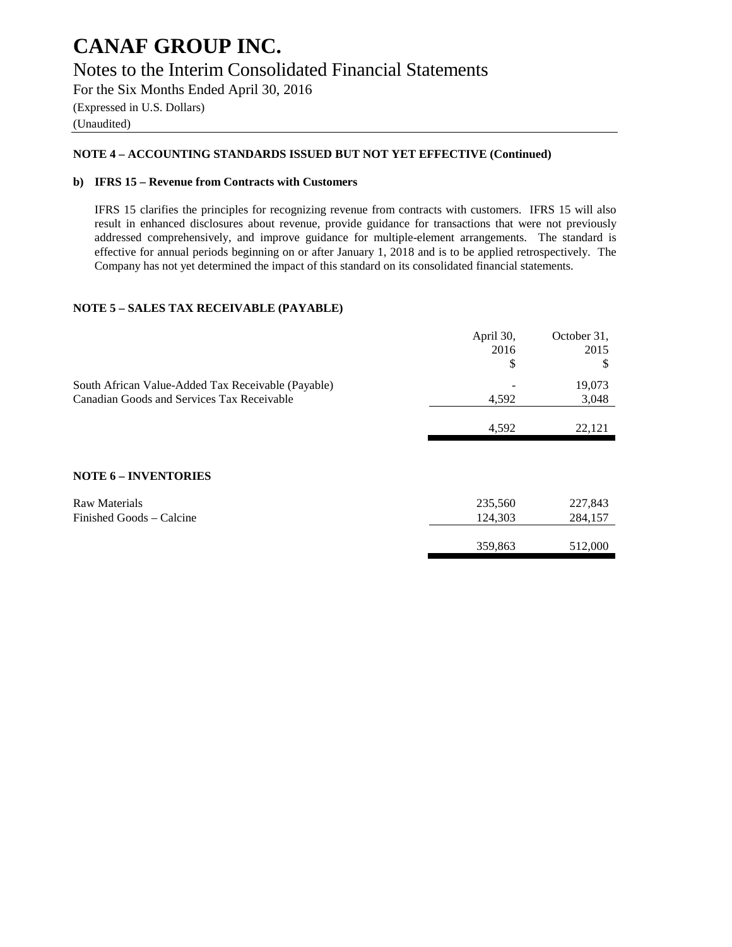### **CANAF GROUP INC.** Notes to the Interim Consolidated Financial Statements

For the Six Months Ended April 30, 2016 (Expressed in U.S. Dollars) (Unaudited)

#### **NOTE 4 – ACCOUNTING STANDARDS ISSUED BUT NOT YET EFFECTIVE (Continued)**

#### **b) IFRS 15 – Revenue from Contracts with Customers**

IFRS 15 clarifies the principles for recognizing revenue from contracts with customers. IFRS 15 will also result in enhanced disclosures about revenue, provide guidance for transactions that were not previously addressed comprehensively, and improve guidance for multiple-element arrangements. The standard is effective for annual periods beginning on or after January 1, 2018 and is to be applied retrospectively. The Company has not yet determined the impact of this standard on its consolidated financial statements.

#### **NOTE 5 – SALES TAX RECEIVABLE (PAYABLE)**

|                                                    | April 30, | October 31, |
|----------------------------------------------------|-----------|-------------|
|                                                    | 2016      | 2015        |
|                                                    | \$        | \$          |
| South African Value-Added Tax Receivable (Payable) |           | 19,073      |
| Canadian Goods and Services Tax Receivable         | 4,592     | 3,048       |
|                                                    | 4,592     | 22,121      |
|                                                    |           |             |
| <b>NOTE 6 - INVENTORIES</b>                        |           |             |
| <b>Raw Materials</b>                               | 235,560   | 227,843     |
| Finished Goods – Calcine                           | 124,303   | 284,157     |
|                                                    |           |             |
|                                                    | 359,863   | 512,000     |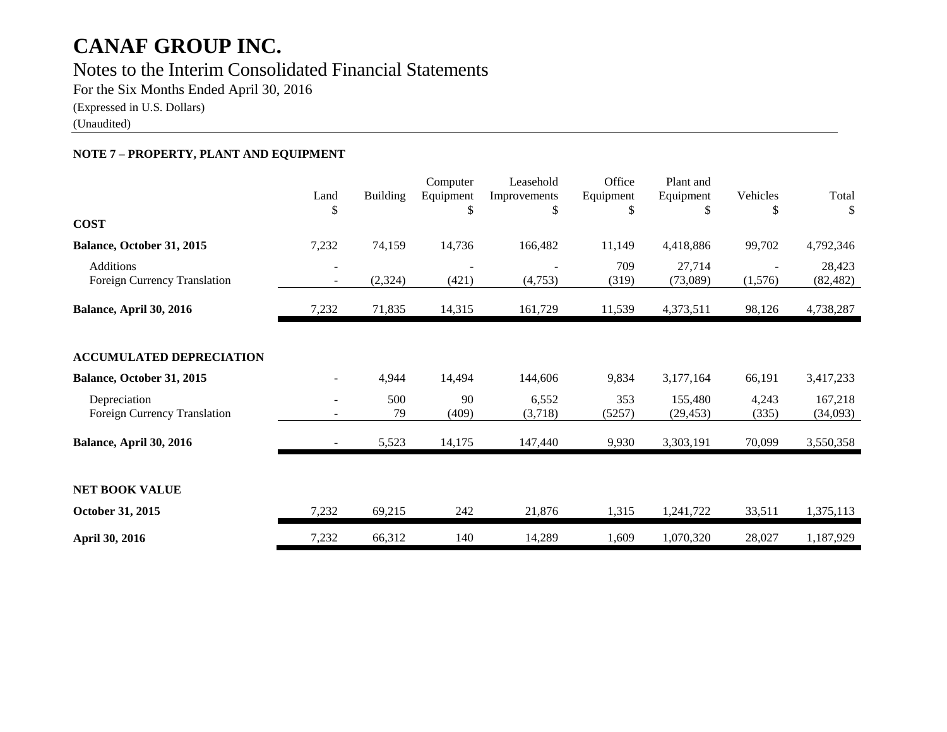### Notes to the Interim Consolidated Financial Statements

For the Six Months Ended April 30, 2016

(Expressed in U.S. Dollars)

(Unaudited)

#### **NOTE 7 – PROPERTY, PLANT AND EQUIPMENT**

| <b>COST</b>                                      | Land<br>\$                                           | <b>Building</b> | Computer<br>Equipment<br>\$ | Leasehold<br>Improvements<br>\$ | Office<br>Equipment<br>\$ | Plant and<br>Equipment<br>\$ | Vehicles<br>\$ | Total               |
|--------------------------------------------------|------------------------------------------------------|-----------------|-----------------------------|---------------------------------|---------------------------|------------------------------|----------------|---------------------|
|                                                  |                                                      |                 |                             |                                 |                           |                              |                |                     |
| Balance, October 31, 2015                        | 7,232                                                | 74,159          | 14,736                      | 166,482                         | 11,149                    | 4,418,886                    | 99,702         | 4,792,346           |
| <b>Additions</b><br>Foreign Currency Translation | $\overline{\phantom{a}}$                             | (2, 324)        | (421)                       | (4,753)                         | 709<br>(319)              | 27,714<br>(73,089)           | (1,576)        | 28,423<br>(82, 482) |
| Balance, April 30, 2016                          | 7,232                                                | 71,835          | 14,315                      | 161,729                         | 11,539                    | 4,373,511                    | 98,126         | 4,738,287           |
| <b>ACCUMULATED DEPRECIATION</b>                  |                                                      |                 |                             |                                 |                           |                              |                |                     |
| Balance, October 31, 2015                        |                                                      | 4,944           | 14,494                      | 144,606                         | 9,834                     | 3,177,164                    | 66,191         | 3,417,233           |
| Depreciation<br>Foreign Currency Translation     | $\overline{\phantom{a}}$<br>$\overline{\phantom{a}}$ | 500<br>79       | 90<br>(409)                 | 6,552<br>(3,718)                | 353<br>(5257)             | 155,480<br>(29, 453)         | 4,243<br>(335) | 167,218<br>(34,093) |
| Balance, April 30, 2016                          |                                                      | 5,523           | 14,175                      | 147,440                         | 9,930                     | 3,303,191                    | 70,099         | 3,550,358           |
| <b>NET BOOK VALUE</b><br>October 31, 2015        | 7,232                                                | 69,215          | 242                         | 21,876                          | 1,315                     | 1,241,722                    | 33,511         | 1,375,113           |
| April 30, 2016                                   | 7,232                                                | 66,312          | 140                         | 14,289                          | 1,609                     | 1,070,320                    | 28,027         | 1,187,929           |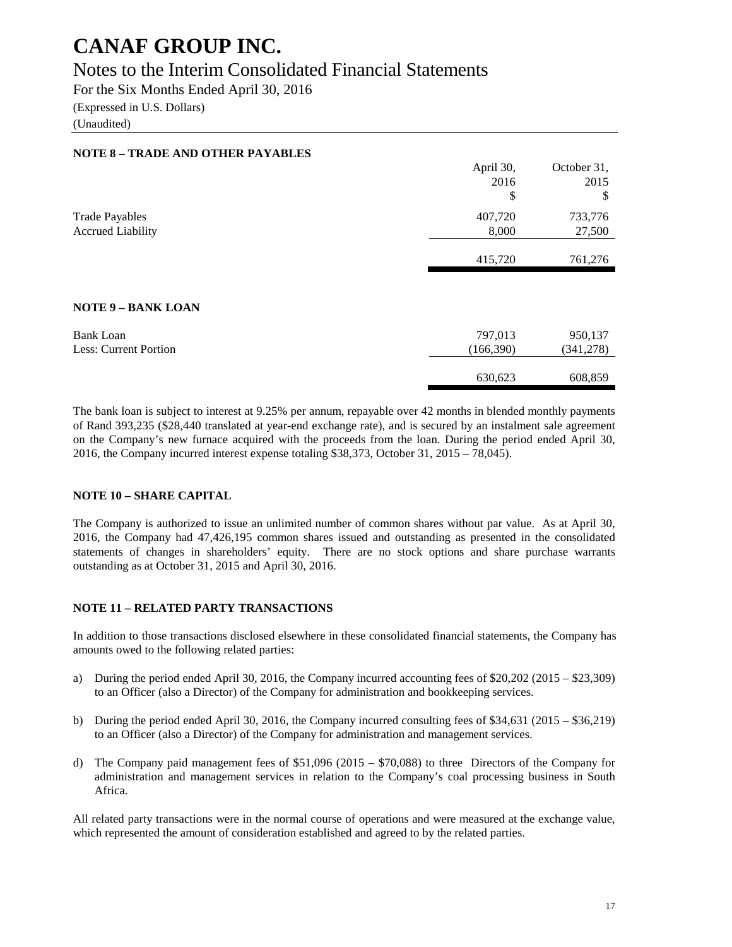### Notes to the Interim Consolidated Financial Statements

For the Six Months Ended April 30, 2016

(Expressed in U.S. Dollars)

(Unaudited)

| <b>NOTE 8 - TRADE AND OTHER PAYABLES</b> |           |             |
|------------------------------------------|-----------|-------------|
|                                          | April 30, | October 31, |
|                                          | 2016      | 2015        |
|                                          | \$        | \$          |
| <b>Trade Payables</b>                    | 407,720   | 733,776     |
| <b>Accrued Liability</b>                 | 8,000     | 27,500      |
|                                          |           |             |
|                                          | 415,720   | 761,276     |
|                                          |           |             |
| <b>NOTE 9 - BANK LOAN</b>                |           |             |
| <b>Bank Loan</b>                         | 797,013   | 950,137     |
| Less: Current Portion                    | (166,390) | (341, 278)  |
|                                          |           |             |
|                                          | 630,623   | 608,859     |
|                                          |           |             |

The bank loan is subject to interest at 9.25% per annum, repayable over 42 months in blended monthly payments of Rand 393,235 (\$28,440 translated at year-end exchange rate), and is secured by an instalment sale agreement on the Company's new furnace acquired with the proceeds from the loan. During the period ended April 30, 2016, the Company incurred interest expense totaling \$38,373, October 31, 2015 – 78,045).

#### **NOTE 10 – SHARE CAPITAL**

The Company is authorized to issue an unlimited number of common shares without par value. As at April 30, 2016, the Company had 47,426,195 common shares issued and outstanding as presented in the consolidated statements of changes in shareholders' equity. There are no stock options and share purchase warrants outstanding as at October 31, 2015 and April 30, 2016.

#### **NOTE 11 – RELATED PARTY TRANSACTIONS**

In addition to those transactions disclosed elsewhere in these consolidated financial statements, the Company has amounts owed to the following related parties:

- a) During the period ended April 30, 2016, the Company incurred accounting fees of \$20,202 (2015 \$23,309) to an Officer (also a Director) of the Company for administration and bookkeeping services.
- b) During the period ended April 30, 2016, the Company incurred consulting fees of \$34,631 (2015 \$36,219) to an Officer (also a Director) of the Company for administration and management services.
- d) The Company paid management fees of \$51,096 (2015 \$70,088) to three Directors of the Company for administration and management services in relation to the Company's coal processing business in South Africa.

All related party transactions were in the normal course of operations and were measured at the exchange value, which represented the amount of consideration established and agreed to by the related parties.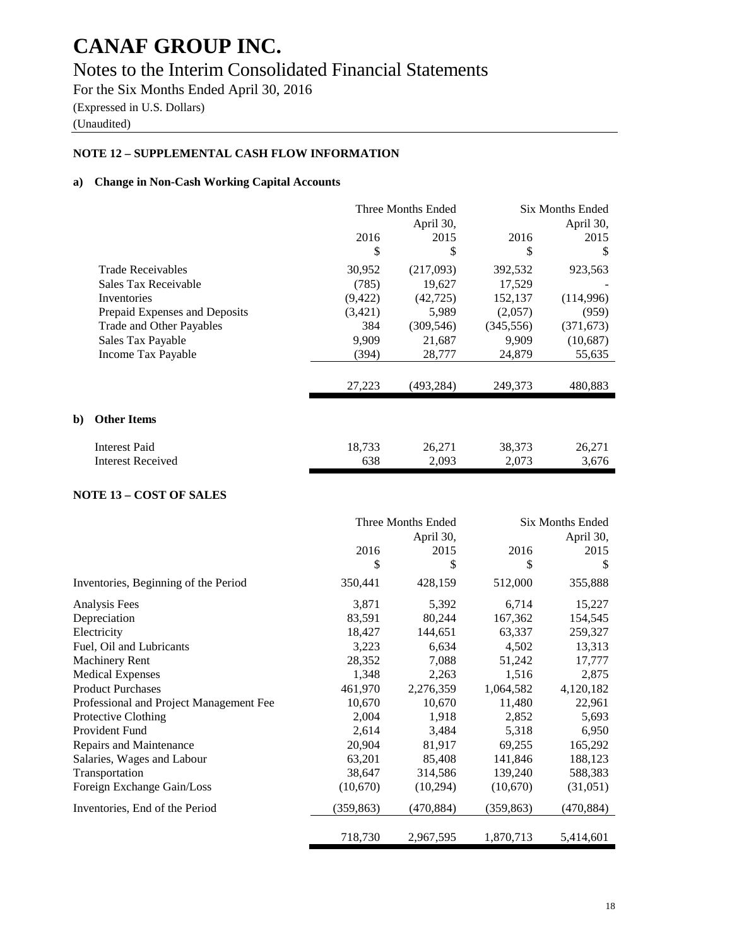### Notes to the Interim Consolidated Financial Statements

For the Six Months Ended April 30, 2016 (Expressed in U.S. Dollars)

(Unaudited)

**b**)

#### **NOTE 12 – SUPPLEMENTAL CASH FLOW INFORMATION**

#### **a) Change in Non-Cash Working Capital Accounts**

|                               | Three Months Ended<br>April 30, |            | Six Months Ended<br>April 30, |            |
|-------------------------------|---------------------------------|------------|-------------------------------|------------|
|                               | 2016                            | 2015       | 2016                          | 2015       |
|                               | \$                              | \$         | \$                            | S          |
| <b>Trade Receivables</b>      | 30,952                          | (217,093)  | 392,532                       | 923,563    |
| Sales Tax Receivable          | (785)                           | 19,627     | 17,529                        |            |
| Inventories                   | (9, 422)                        | (42, 725)  | 152,137                       | (114,996)  |
| Prepaid Expenses and Deposits | (3,421)                         | 5,989      | (2,057)                       | (959)      |
| Trade and Other Payables      | 384                             | (309, 546) | (345, 556)                    | (371, 673) |
| Sales Tax Payable             | 9,909                           | 21,687     | 9.909                         | (10,687)   |
| Income Tax Payable            | (394)                           | 28,777     | 24,879                        | 55,635     |
|                               | 27,223                          | (493,284)  | 249,373                       | 480,883    |
| <b>Other Items</b>            |                                 |            |                               |            |
| <b>Interest Paid</b>          | 18,733                          | 26,271     | 38,373                        | 26,271     |
| Interest Received             | 638                             | 2,093      | 2,073                         | 3,676      |

#### **NOTE 13 – COST OF SALES**

|                                         | Three Months Ended |            | <b>Six Months Ended</b> |            |
|-----------------------------------------|--------------------|------------|-------------------------|------------|
|                                         |                    | April 30,  | April 30,               |            |
|                                         | 2016               | 2015       | 2016                    | 2015       |
|                                         | \$                 | \$         | \$                      | S          |
| Inventories, Beginning of the Period    | 350,441            | 428,159    | 512,000                 | 355,888    |
| Analysis Fees                           | 3,871              | 5,392      | 6,714                   | 15,227     |
| Depreciation                            | 83,591             | 80,244     | 167,362                 | 154,545    |
| Electricity                             | 18,427             | 144,651    | 63,337                  | 259,327    |
| Fuel, Oil and Lubricants                | 3,223              | 6,634      | 4,502                   | 13,313     |
| <b>Machinery Rent</b>                   | 28,352             | 7,088      | 51,242                  | 17,777     |
| <b>Medical Expenses</b>                 | 1,348              | 2,263      | 1,516                   | 2,875      |
| <b>Product Purchases</b>                | 461,970            | 2,276,359  | 1,064,582               | 4,120,182  |
| Professional and Project Management Fee | 10,670             | 10,670     | 11,480                  | 22,961     |
| Protective Clothing                     | 2,004              | 1,918      | 2,852                   | 5,693      |
| <b>Provident Fund</b>                   | 2,614              | 3,484      | 5,318                   | 6,950      |
| Repairs and Maintenance                 | 20,904             | 81,917     | 69,255                  | 165,292    |
| Salaries, Wages and Labour              | 63,201             | 85,408     | 141,846                 | 188,123    |
| Transportation                          | 38,647             | 314,586    | 139,240                 | 588,383    |
| Foreign Exchange Gain/Loss              | (10,670)           | (10,294)   | (10,670)                | (31,051)   |
| Inventories, End of the Period          | (359, 863)         | (470, 884) | (359, 863)              | (470, 884) |
|                                         | 718,730            | 2,967,595  | 1,870,713               | 5,414,601  |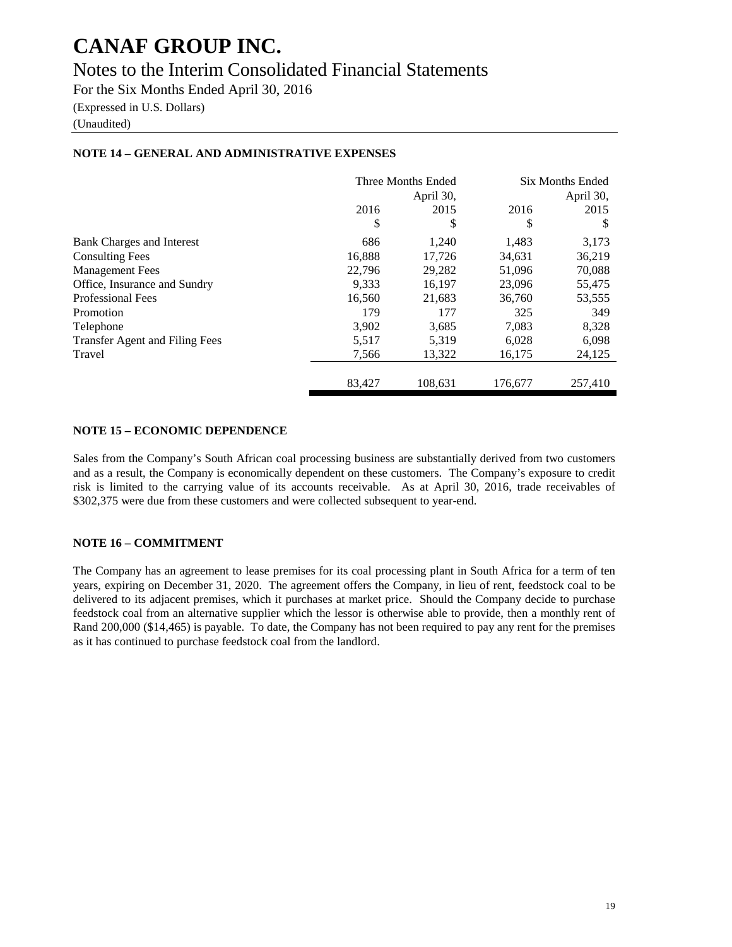### Notes to the Interim Consolidated Financial Statements

For the Six Months Ended April 30, 2016

(Expressed in U.S. Dollars)

(Unaudited)

|                                | Three Months Ended |           | <b>Six Months Ended</b> |         |
|--------------------------------|--------------------|-----------|-------------------------|---------|
|                                |                    | April 30, | April 30,               |         |
|                                | 2016               | 2015      | 2016                    | 2015    |
|                                | \$                 | \$        | \$                      | S       |
| Bank Charges and Interest      | 686                | 1,240     | 1,483                   | 3,173   |
| <b>Consulting Fees</b>         | 16,888             | 17,726    | 34,631                  | 36,219  |
| <b>Management Fees</b>         | 22,796             | 29,282    | 51,096                  | 70,088  |
| Office, Insurance and Sundry   | 9.333              | 16.197    | 23,096                  | 55,475  |
| <b>Professional Fees</b>       | 16,560             | 21,683    | 36,760                  | 53,555  |
| Promotion                      | 179                | 177       | 325                     | 349     |
| Telephone                      | 3,902              | 3,685     | 7,083                   | 8,328   |
| Transfer Agent and Filing Fees | 5,517              | 5,319     | 6,028                   | 6,098   |
| Travel                         | 7,566              | 13,322    | 16,175                  | 24,125  |
|                                | 83.427             | 108.631   | 176,677                 | 257,410 |

#### **NOTE 14 – GENERAL AND ADMINISTRATIVE EXPENSES**

#### **NOTE 15 – ECONOMIC DEPENDENCE**

Sales from the Company's South African coal processing business are substantially derived from two customers and as a result, the Company is economically dependent on these customers. The Company's exposure to credit risk is limited to the carrying value of its accounts receivable. As at April 30, 2016, trade receivables of \$302,375 were due from these customers and were collected subsequent to year-end.

#### **NOTE 16 – COMMITMENT**

The Company has an agreement to lease premises for its coal processing plant in South Africa for a term of ten years, expiring on December 31, 2020. The agreement offers the Company, in lieu of rent, feedstock coal to be delivered to its adjacent premises, which it purchases at market price. Should the Company decide to purchase feedstock coal from an alternative supplier which the lessor is otherwise able to provide, then a monthly rent of Rand 200,000 (\$14,465) is payable. To date, the Company has not been required to pay any rent for the premises as it has continued to purchase feedstock coal from the landlord.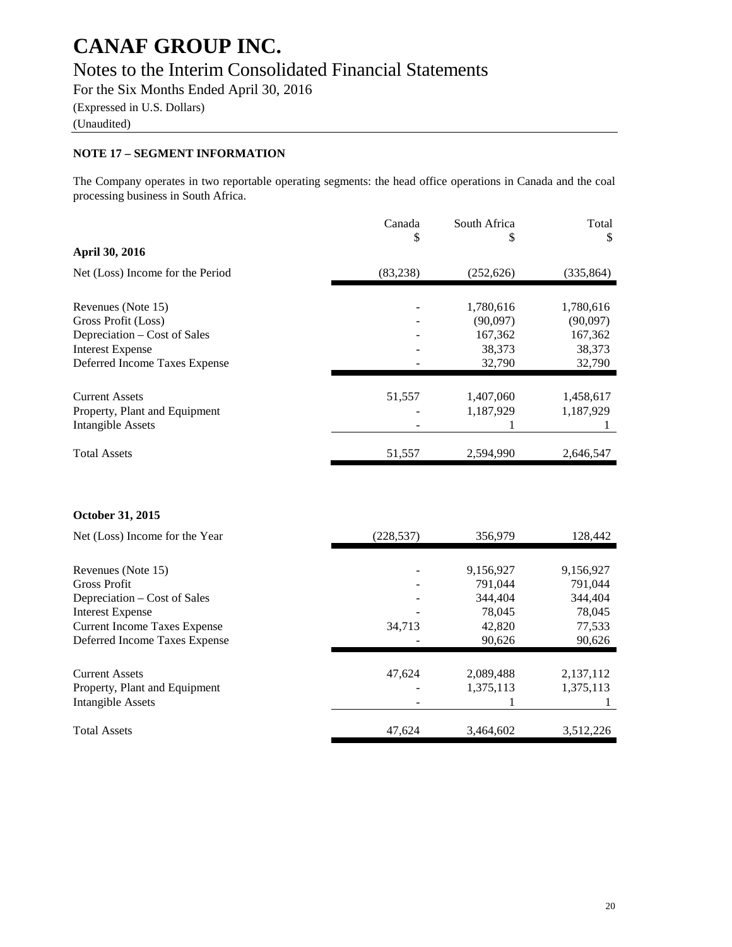### Notes to the Interim Consolidated Financial Statements

For the Six Months Ended April 30, 2016

(Expressed in U.S. Dollars)

(Unaudited)

#### **NOTE 17 – SEGMENT INFORMATION**

The Company operates in two reportable operating segments: the head office operations in Canada and the coal processing business in South Africa.

|                                  | Canada<br>\$ | South Africa<br>\$ | Total<br>\$ |
|----------------------------------|--------------|--------------------|-------------|
| April 30, 2016                   |              |                    |             |
| Net (Loss) Income for the Period | (83,238)     | (252, 626)         | (335, 864)  |
|                                  |              |                    |             |
| Revenues (Note 15)               |              | 1,780,616          | 1,780,616   |
| Gross Profit (Loss)              |              | (90,097)           | (90,097)    |
| Depreciation – Cost of Sales     |              | 167,362            | 167,362     |
| <b>Interest Expense</b>          |              | 38,373             | 38,373      |
| Deferred Income Taxes Expense    |              | 32,790             | 32,790      |
|                                  |              |                    |             |
| <b>Current Assets</b>            | 51,557       | 1,407,060          | 1,458,617   |
| Property, Plant and Equipment    |              | 1,187,929          | 1,187,929   |
| Intangible Assets                |              |                    |             |
| <b>Total Assets</b>              | 51,557       | 2,594,990          | 2,646,547   |

#### **October 31, 2015**

| Net (Loss) Income for the Year      | (228, 537) | 356,979   | 128,442   |
|-------------------------------------|------------|-----------|-----------|
|                                     |            |           |           |
| Revenues (Note 15)                  |            | 9,156,927 | 9,156,927 |
| <b>Gross Profit</b>                 |            | 791.044   | 791,044   |
| Depreciation – Cost of Sales        |            | 344,404   | 344,404   |
| <b>Interest Expense</b>             |            | 78,045    | 78,045    |
| <b>Current Income Taxes Expense</b> | 34,713     | 42,820    | 77,533    |
| Deferred Income Taxes Expense       |            | 90,626    | 90,626    |
|                                     |            |           |           |
| <b>Current Assets</b>               | 47,624     | 2,089,488 | 2,137,112 |
| Property, Plant and Equipment       |            | 1,375,113 | 1,375,113 |
| Intangible Assets                   |            |           |           |
| <b>Total Assets</b>                 | 47,624     | 3,464,602 | 3,512,226 |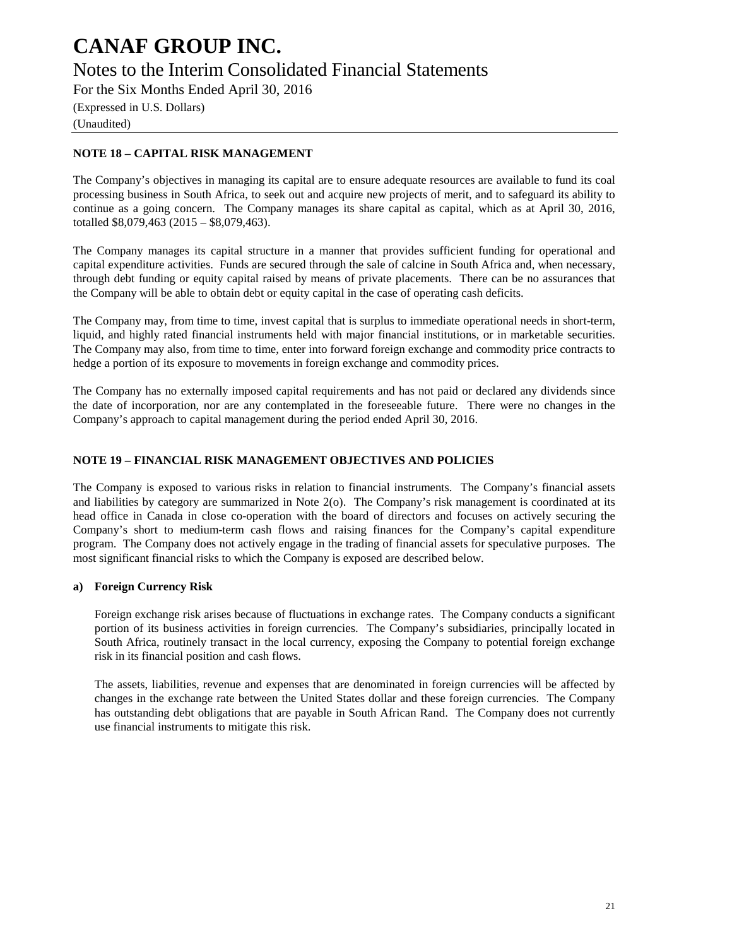Notes to the Interim Consolidated Financial Statements

For the Six Months Ended April 30, 2016

(Expressed in U.S. Dollars) (Unaudited)

#### **NOTE 18 – CAPITAL RISK MANAGEMENT**

The Company's objectives in managing its capital are to ensure adequate resources are available to fund its coal processing business in South Africa, to seek out and acquire new projects of merit, and to safeguard its ability to continue as a going concern. The Company manages its share capital as capital, which as at April 30, 2016, totalled \$8,079,463 (2015 – \$8,079,463).

The Company manages its capital structure in a manner that provides sufficient funding for operational and capital expenditure activities. Funds are secured through the sale of calcine in South Africa and, when necessary, through debt funding or equity capital raised by means of private placements. There can be no assurances that the Company will be able to obtain debt or equity capital in the case of operating cash deficits.

The Company may, from time to time, invest capital that is surplus to immediate operational needs in short-term, liquid, and highly rated financial instruments held with major financial institutions, or in marketable securities. The Company may also, from time to time, enter into forward foreign exchange and commodity price contracts to hedge a portion of its exposure to movements in foreign exchange and commodity prices.

The Company has no externally imposed capital requirements and has not paid or declared any dividends since the date of incorporation, nor are any contemplated in the foreseeable future. There were no changes in the Company's approach to capital management during the period ended April 30, 2016.

#### **NOTE 19 – FINANCIAL RISK MANAGEMENT OBJECTIVES AND POLICIES**

The Company is exposed to various risks in relation to financial instruments. The Company's financial assets and liabilities by category are summarized in Note 2(o). The Company's risk management is coordinated at its head office in Canada in close co-operation with the board of directors and focuses on actively securing the Company's short to medium-term cash flows and raising finances for the Company's capital expenditure program. The Company does not actively engage in the trading of financial assets for speculative purposes. The most significant financial risks to which the Company is exposed are described below.

#### **a) Foreign Currency Risk**

Foreign exchange risk arises because of fluctuations in exchange rates. The Company conducts a significant portion of its business activities in foreign currencies. The Company's subsidiaries, principally located in South Africa, routinely transact in the local currency, exposing the Company to potential foreign exchange risk in its financial position and cash flows.

The assets, liabilities, revenue and expenses that are denominated in foreign currencies will be affected by changes in the exchange rate between the United States dollar and these foreign currencies. The Company has outstanding debt obligations that are payable in South African Rand. The Company does not currently use financial instruments to mitigate this risk.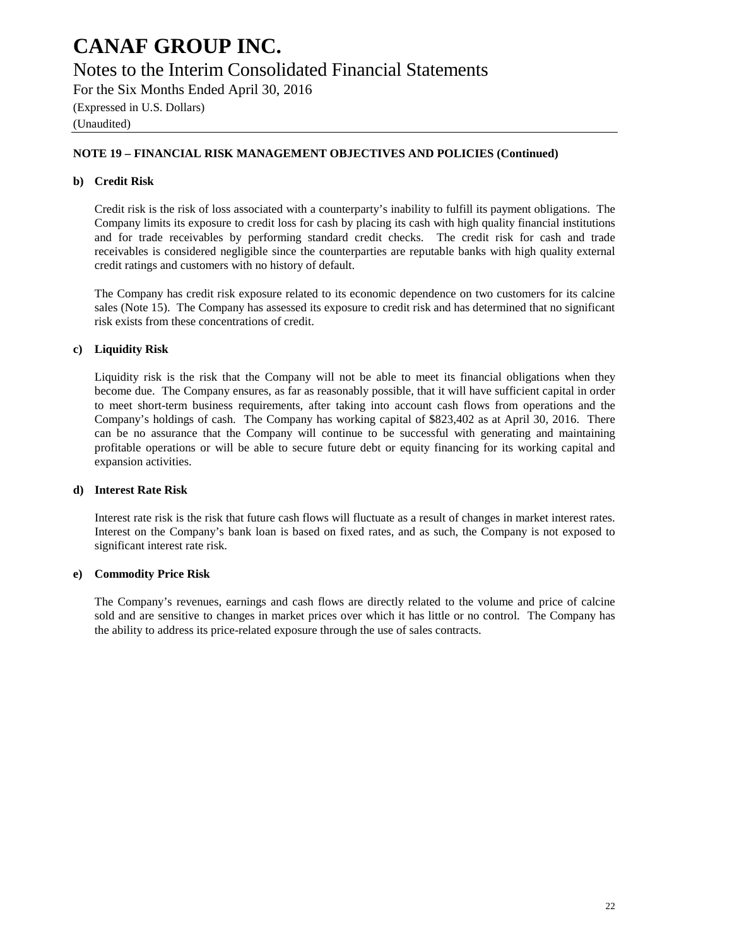### Notes to the Interim Consolidated Financial Statements

For the Six Months Ended April 30, 2016

(Expressed in U.S. Dollars)

(Unaudited)

#### **NOTE 19 – FINANCIAL RISK MANAGEMENT OBJECTIVES AND POLICIES (Continued)**

#### **b) Credit Risk**

Credit risk is the risk of loss associated with a counterparty's inability to fulfill its payment obligations. The Company limits its exposure to credit loss for cash by placing its cash with high quality financial institutions and for trade receivables by performing standard credit checks. The credit risk for cash and trade receivables is considered negligible since the counterparties are reputable banks with high quality external credit ratings and customers with no history of default.

The Company has credit risk exposure related to its economic dependence on two customers for its calcine sales (Note 15). The Company has assessed its exposure to credit risk and has determined that no significant risk exists from these concentrations of credit.

#### **c) Liquidity Risk**

Liquidity risk is the risk that the Company will not be able to meet its financial obligations when they become due. The Company ensures, as far as reasonably possible, that it will have sufficient capital in order to meet short-term business requirements, after taking into account cash flows from operations and the Company's holdings of cash. The Company has working capital of \$823,402 as at April 30, 2016. There can be no assurance that the Company will continue to be successful with generating and maintaining profitable operations or will be able to secure future debt or equity financing for its working capital and expansion activities.

#### **d) Interest Rate Risk**

Interest rate risk is the risk that future cash flows will fluctuate as a result of changes in market interest rates. Interest on the Company's bank loan is based on fixed rates, and as such, the Company is not exposed to significant interest rate risk.

#### **e) Commodity Price Risk**

The Company's revenues, earnings and cash flows are directly related to the volume and price of calcine sold and are sensitive to changes in market prices over which it has little or no control. The Company has the ability to address its price-related exposure through the use of sales contracts.